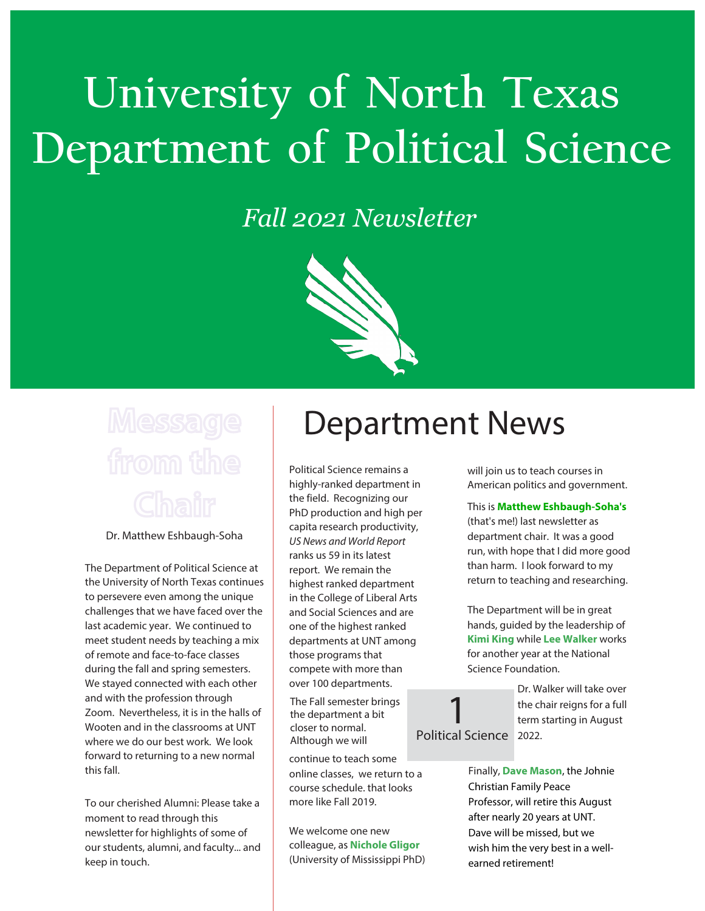# **University of North Texas Department of Political Science**

## *Fall 2021 Newsletter*



Dr. Matthew Eshbaugh-Soha

The Department of Political Science at the University of North Texas continues to persevere even among the unique challenges that we have faced over the last academic year. We continued to meet student needs by teaching a mix of remote and face-to-face classes during the fall and spring semesters. We stayed connected with each other and with the profession through Zoom. Nevertheless, it is in the halls of Wooten and in the classrooms at UNT where we do our best work. We look forward to returning to a new normal this fall.

To our cherished Alumni: Please take a moment to read through this newsletter for highlights of some of our students, alumni, and faculty... and keep in touch.

# **Department News**

1

Political Science remains a highly-ranked department in the field. Recognizing our PhD production and high per capita research productivity, US News and World Report ranks us 59 in its latest report. We remain the highest ranked department in the College of Liberal Arts and Social Sciences and are one of the highest ranked departments at UNT among those programs that compete with more than over 100 departments.

The Fall semester brings the department a bit closer to normal. Although we will

continue to teach some online classes, we return to a course schedule. that looks more like Fall 2019.

We welcome one new colleague, as **Nichole Gligor** (University of Mississippi PhD) will join us to teach courses in American politics and government.

### This is **Matthew Eshbaugh-Soha's**

(that's me!) last newsletter as department chair. It was a good run, with hope that I did more good than harm. I look forward to my return to teaching and researching.

The Department will be in great hands, guided by the leadership of **Kimi King** while **Lee Walker** works for another year at the National Science Foundation.

Dr. Walker will take over the chair reigns for a full term starting in August Political Science 2022.

> Finally, **Dave Mason**, the Johnie Christian Family Peace Professor, will retire this August after nearly 20 years at UNT. Dave will be missed, but we wish him the very best in a wellearned retirement!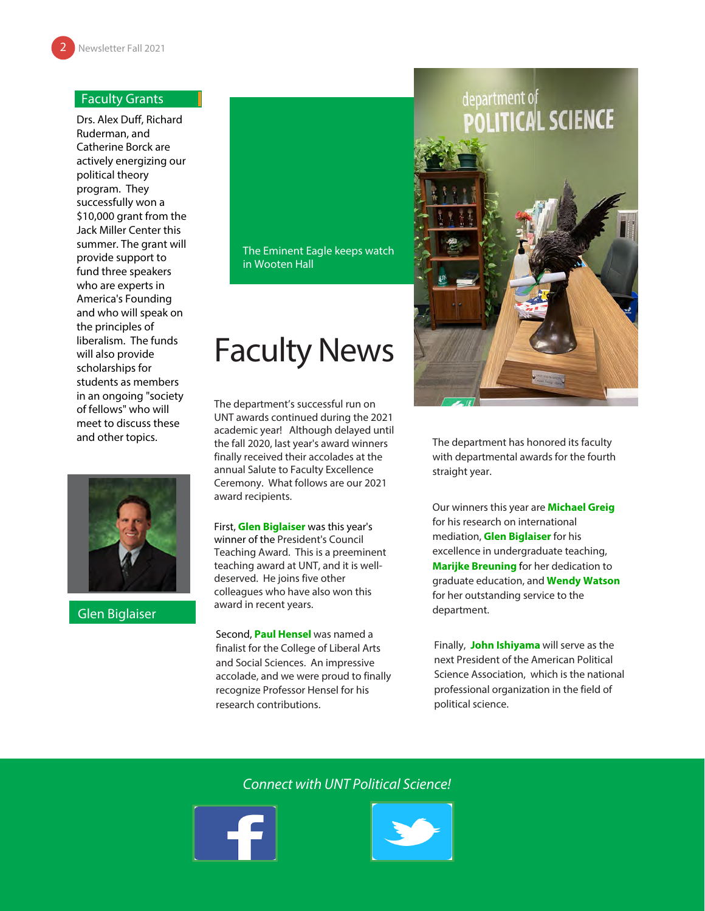### Faculty Grants

Drs. Alex Duff, Richard Ruderman, and Catherine Borck are actively energizing our political theory program. They successfully won a \$10,000 grant from the Jack Miller Center this summer. The grant will provide support to fund three speakers who are experts in America's Founding and who will speak on the principles of liberalism. The funds will also provide scholarships for students as members in an ongoing "society of fellows" who will meet to discuss these and other topics.



Glen Biglaiser

### The Eminent Eagle keeps watch in Wooten Hall

## Faculty News

The department's successful run on UNT awards continued during the 2021 academic year! Although delayed until the fall 2020, last year's award winners finally received their accolades at the annual Salute to Faculty Excellence Ceremony. What follows are our 2021 award recipients.

First, **Glen Biglaiser** was this year's winner of the President's Council Teaching Award. This is a preeminent teaching award at UNT, and it is welldeserved. He joins five other colleagues who have also won this award in recent years.

Second, **Paul Hensel** was named a finalist for the College of Liberal Arts and Social Sciences. An impressive accolade, and we were proud to finally recognize Professor Hensel for his research contributions.

# department of<br>**POLITICAL SCIENCE**



The department has honored its faculty with departmental awards for the fourth straight year.

Our winners this year are **Michael Greig**  for his research on international mediation, **Glen Biglaiser** for his excellence in undergraduate teaching, **Marijke Breuning** for her dedication to graduate education, and **Wendy Watson** for her outstanding service to the department.

Finally, **John Ishiyama** will serve as the next President of the American Political Science Association, which is the national professional organization in the field of political science.

## Connect with UNT Political Science!



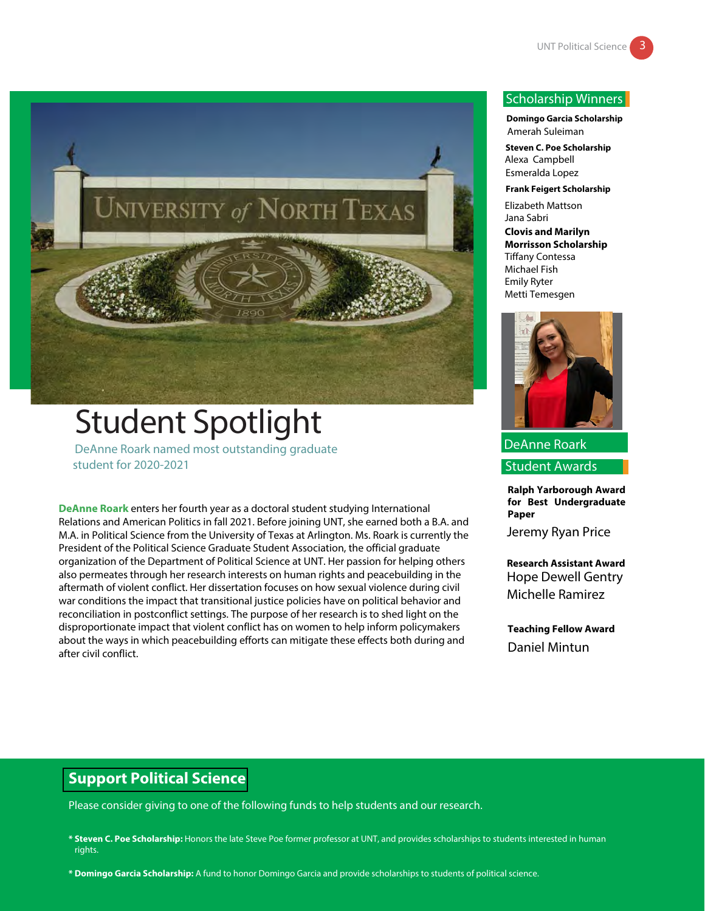

## Student Spotlight DeAnne Roark named most outstanding graduate

student for 2020-2021

**DeAnne Roark** enters her fourth year as a doctoral student studying International Relations and American Politics in fall 2021. Before joining UNT, she earned both a B.A. and M.A. in Political Science from the University of Texas at Arlington. Ms. Roark is currently the President of the Political Science Graduate Student Association, the official graduate organization of the Department of Political Science at UNT. Her passion for helping others also permeates through her research interests on human rights and peacebuilding in the aftermath of violent conflict. Her dissertation focuses on how sexual violence during civil war conditions the impact that transitional justice policies have on political behavior and reconciliation in postconflict settings. The purpose of her research is to shed light on the disproportionate impact that violent conflict has on women to help inform policymakers about the ways in which peacebuilding efforts can mitigate these effects both during and after civil conflict.

### Scholarship Winners

**Domingo Garcia Scholarship** Amerah Suleiman

**Steven C. Poe Scholarship** Alexa Campbell Esmeralda Lopez

**Frank Feigert Scholarship**

Elizabeth Mattson Jana Sabri

**Clovis and Marilyn Morrisson Scholarship** Tiffany Contessa Michael Fish Emily Ryter Metti Temesgen



DeAnne Roark

Student Awards

**Ralph Yarborough Award for Best Undergraduate Paper**

Jeremy Ryan Price

**Research Assistant Award** Hope Dewell Gentry Michelle Ramirez

**Teaching Fellow Award** Daniel Mintun

## **Support Political Science**

Please consider giving to one of the following funds to help students and our research.

**\* Steven C. Poe Scholarship:** Honors the late Steve Poe former professor at UNT, and provides scholarships to students interested in human rights.

**\* Domingo Garcia Scholarship:** A fund to honor Domingo Garcia and provide scholarships to students of political science.